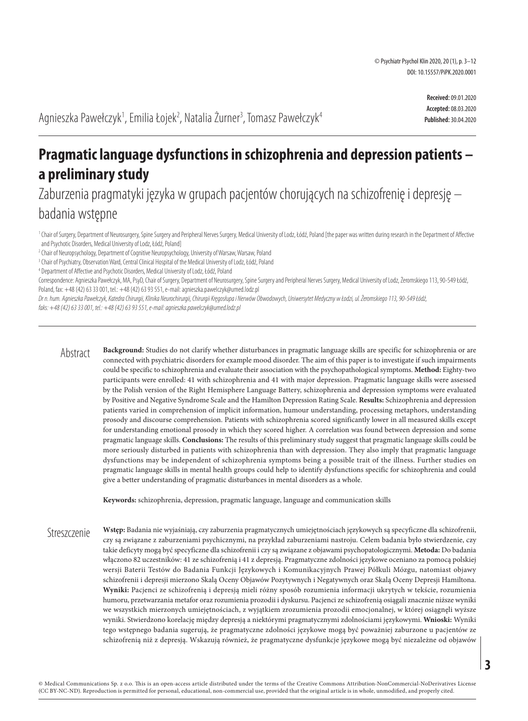**Received:** 09.01.2020 **Accepted:** 08.03.2020 **Published:** 30.04.2020

Agnieszka Pawełczyk<sup>1</sup>, Emilia Łojek<sup>2</sup>, Natalia Żurner<sup>3</sup>, Tomasz Pawełczyk<sup>4</sup>

# **Pragmatic language dysfunctions in schizophrenia and depression patients – a preliminary study**

Zaburzenia pragmatyki języka w grupach pacjentów chorujących na schizofrenię idepresję – badania wstępne

<sup>1</sup> Chair of Surgery, Department of Neurosurgery, Spine Surgery and Peripheral Nerves Surgery, Medical University of Lodz, Łódź, Poland [the paper was written during research in the Department of Affective and Psychotic Disorders, Medical University of Lodz, Łódź, Poland]

2 Chair of Neuropsychology, Department of Cognitive Neuropsychology, University of Warsaw, Warsaw, Poland

<sup>3</sup> Chair of Psychiatry, Observation Ward, Central Clinical Hospital of the Medical University of Lodz, Łódź, Poland

4 Department of Affective and Psychotic Disorders, Medical University of Lodz, Łódź, Poland

Correspondence: Agnieszka Pawełczyk, MA, PsyD, Chair of Surgery, Department of Neurosurgery, Spine Surgery and Peripheral Nerves Surgery, Medical University of Lodz, Żeromskiego 113, 90-549 Łódź, Poland, fax: +48 (42) 63 33 001, tel.: +48 (42) 63 93551, e-mail: agnieszka.pawelczyk@umed.lodz.pl

*Dr n. hum. Agnieszka Pawełczyk, Katedra Chirurgii, Klinika Neurochirurgii, Chirurgii Kręgosłupa i Nerwów Obwodowych, Uniwersytet Medyczny w Łodzi, ul. Żeromskiego 113, 90-549 Łódź,* 

*faks: +48 (42) 63 33 001, tel.: +48 (42) 63 93551, e-mail: agnieszka.pawelczyk@umed.lodz.pl*

**Background:** Studies do not clarify whether disturbances in pragmatic language skills are specific for schizophrenia or are connected with psychiatric disorders for example mood disorder. The aim of this paper is to investigate if such impairments could be specific to schizophrenia and evaluate their association with the psychopathological symptoms. **Method:** Eighty-two participants were enrolled: 41 with schizophrenia and 41 with major depression. Pragmatic language skills were assessed by the Polish version of the Right Hemisphere Language Battery, schizophrenia and depression symptoms were evaluated by Positive and Negative Syndrome Scale and the Hamilton Depression Rating Scale. **Results:** Schizophrenia and depression patients varied in comprehension of implicit information, humour understanding, processing metaphors, understanding prosody and discourse comprehension. Patients with schizophrenia scored significantly lower in all measured skills except for understanding emotional prosody in which they scored higher. A correlation was found between depression and some pragmatic language skills. **Conclusions:** The results of this preliminary study suggest that pragmatic language skills could be more seriously disturbed in patients with schizophrenia than with depression. They also imply that pragmatic language dysfunctions may be independent of schizophrenia symptoms being a possible trait of the illness. Further studies on pragmatic language skills in mental health groups could help to identify dysfunctions specific for schizophrenia and could give a better understanding of pragmatic disturbances in mental disorders as a whole. Abstract

**Keywords:** schizophrenia, depression, pragmatic language, language and communication skills

**Wstęp:** Badania nie wyjaśniają, czy zaburzenia pragmatycznych umiejętnościach językowych są specyficzne dla schizofrenii, czy są związane z zaburzeniami psychicznymi, na przykład zaburzeniami nastroju. Celem badania było stwierdzenie, czy takie deficyty mogą być specyficzne dla schizofrenii i czy są związane z objawami psychopatologicznymi. **Metoda:** Do badania włączono 82 uczestników: 41 ze schizofrenią i 41 z depresją. Pragmatyczne zdolności językowe oceniano za pomocą polskiej wersji Baterii Testów do Badania Funkcji Językowych i Komunikacyjnych Prawej Półkuli Mózgu, natomiast objawy schizofrenii i depresji mierzono Skalą Oceny Objawów Pozytywnych i Negatywnych oraz Skalą Oceny Depresji Hamiltona. **Wyniki:** Pacjenci ze schizofrenią i depresją mieli różny sposób rozumienia informacji ukrytych w tekście, rozumienia humoru, przetwarzania metafor oraz rozumienia prozodii i dyskursu. Pacjenci ze schizofrenią osiągali znacznie niższe wyniki we wszystkich mierzonych umiejętnościach, z wyjątkiem zrozumienia prozodii emocjonalnej, w której osiągnęli wyższe wyniki. Stwierdzono korelację między depresją a niektórymi pragmatycznymi zdolnościami językowymi. **Wnioski:** Wyniki tego wstępnego badania sugerują, że pragmatyczne zdolności językowe mogą być poważniej zaburzone u pacjentów ze schizofrenią niż z depresją. Wskazują również, że pragmatyczne dysfunkcje językowe mogą być niezależne od objawów **Streszczenie**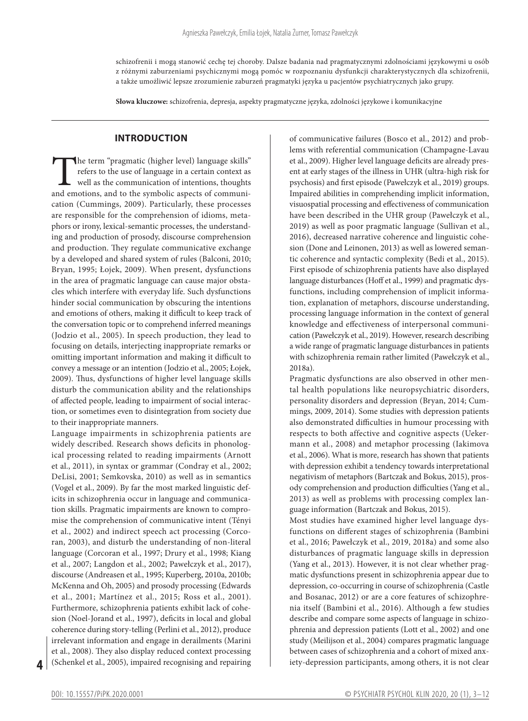schizofrenii i mogą stanowić cechę tej choroby. Dalsze badania nad pragmatycznymi zdolnościami językowymi u osób z różnymi zaburzeniami psychicznymi mogą pomóc w rozpoznaniu dysfunkcji charakterystycznych dla schizofrenii, a także umożliwić lepsze zrozumienie zaburzeń pragmatyki języka u pacjentów psychiatrycznych jako grupy.

**Słowa kluczowe:** schizofrenia, depresja, aspekty pragmatyczne języka, zdolności językowe i komunikacyjne

## **INTRODUCTION**

The term "pragmatic (higher level) language skills" refers to the use of language in a certain context as well as the communication of intentions, thoughts and emotions, and to the symbolic aspects of communirefers to the use of language in a certain context as well as the communication of intentions, thoughts cation (Cummings, 2009). Particularly, these processes are responsible for the comprehension of idioms, metaphors or irony, lexical-semantic processes, the understanding and production of prosody, discourse comprehension and production. They regulate communicative exchange by a developed and shared system of rules (Balconi, 2010; Bryan, 1995; Łojek, 2009). When present, dysfunctions in the area of pragmatic language can cause major obstacles which interfere with everyday life. Such dysfunctions hinder social communication by obscuring the intentions and emotions of others, making it difficult to keep track of the conversation topic or to comprehend inferred meanings (Jodzio et al., 2005). In speech production, they lead to focusing on details, interjecting inappropriate remarks or omitting important information and making it difficult to convey a message or an intention (Jodzio et al., 2005; Łojek, 2009). Thus, dysfunctions of higher level language skills disturb the communication ability and the relationships of affected people, leading to impairment of social interaction, or sometimes even to disintegration from society due to their inappropriate manners.

Language impairments in schizophrenia patients are widely described. Research shows deficits in phonological processing related to reading impairments (Arnott et al., 2011), in syntax or grammar (Condray et al., 2002; DeLisi, 2001; Semkovska, 2010) as well as in semantics (Vogel et al., 2009). By far the most marked linguistic deficits in schizophrenia occur in language and communication skills. Pragmatic impairments are known to compromise the comprehension of communicative intent (Tényi et al., 2002) and indirect speech act processing (Corcoran, 2003), and disturb the understanding of non-literal language (Corcoran et al., 1997; Drury et al., 1998; Kiang et al., 2007; Langdon et al., 2002; Pawełczyk et al., 2017), discourse (Andreasen et al., 1995; Kuperberg, 2010a, 2010b; McKenna and Oh, 2005) and prosody processing (Edwards et al., 2001; Martínez et al., 2015; Ross et al., 2001). Furthermore, schizophrenia patients exhibit lack of cohesion (Noel-Jorand et al., 1997), deficits in local and global coherence during story-telling (Perlini et al., 2012), produce irrelevant information and engage in derailments (Marini et al., 2008). They also display reduced context processing (Schenkel et al., 2005), impaired recognising and repairing

of communicative failures (Bosco et al., 2012) and problems with referential communication (Champagne-Lavau et al., 2009). Higher level language deficits are already present at early stages of the illness in UHR (ultra-high risk for psychosis) and first episode (Pawełczyk et al., 2019) groups. Impaired abilities in comprehending implicit information, visuospatial processing and effectiveness of communication have been described in the UHR group (Pawełczyk et al., 2019) as well as poor pragmatic language (Sullivan et al., 2016), decreased narrative coherence and linguistic cohesion (Done and Leinonen, 2013) as well as lowered semantic coherence and syntactic complexity (Bedi et al., 2015). First episode of schizophrenia patients have also displayed language disturbances (Hoff et al., 1999) and pragmatic dysfunctions, including comprehension of implicit information, explanation of metaphors, discourse understanding, processing language information in the context of general knowledge and effectiveness of interpersonal communication (Pawełczyk et al., 2019). However, research describing a wide range of pragmatic language disturbances in patients with schizophrenia remain rather limited (Pawełczyk et al., 2018a).

Pragmatic dysfunctions are also observed in other mental health populations like neuropsychiatric disorders, personality disorders and depression (Bryan, 2014; Cummings, 2009, 2014). Some studies with depression patients also demonstrated difficulties in humour processing with respects to both affective and cognitive aspects (Uekermann et al., 2008) and metaphor processing (Iakimova et al., 2006). What is more, research has shown that patients with depression exhibit a tendency towards interpretational negativism of metaphors (Bartczak and Bokus, 2015), prosody comprehension and production difficulties (Yang et al., 2013) as well as problems with processing complex language information (Bartczak and Bokus, 2015).

Most studies have examined higher level language dysfunctions on different stages of schizophrenia (Bambini et al., 2016; Pawełczyk et al., 2019, 2018a) and some also disturbances of pragmatic language skills in depression (Yang et al., 2013). However, it is not clear whether pragmatic dysfunctions present in schizophrenia appear due to depression, co-occurring in course of schizophrenia (Castle and Bosanac, 2012) or are a core features of schizophrenia itself (Bambini et al., 2016). Although a few studies describe and compare some aspects of language in schizophrenia and depression patients (Lott et al., 2002) and one study (Meilijson et al., 2004) compares pragmatic language between cases of schizophrenia and a cohort of mixed anxiety-depression participants, among others, it is not clear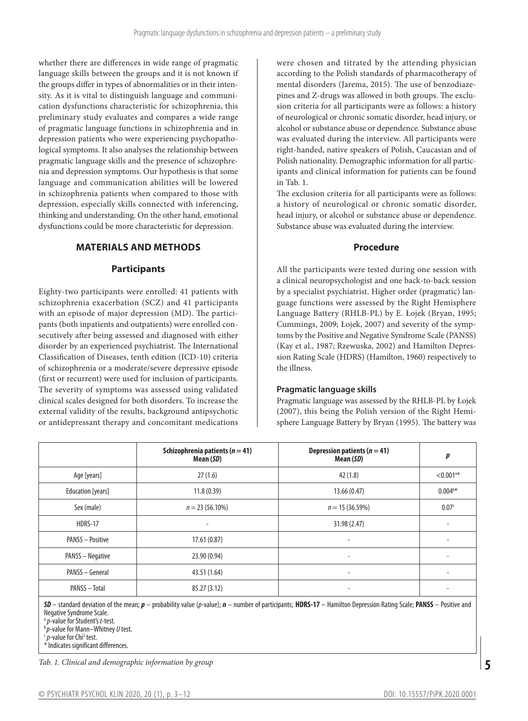whether there are differences in wide range of pragmatic language skills between the groups and it is not known if the groups differ in types of abnormalities or in their intensity. As it is vital to distinguish language and communication dysfunctions characteristic for schizophrenia, this preliminary study evaluates and compares a wide range of pragmatic language functions in schizophrenia and in depression patients who were experiencing psychopathological symptoms. It also analyses the relationship between pragmatic language skills and the presence of schizophrenia and depression symptoms. Our hypothesis is that some language and communication abilities will be lowered in schizophrenia patients when compared to those with depression, especially skills connected with inferencing, thinking and understanding. On the other hand, emotional dysfunctions could be more characteristic for depression.

# **MATERIALS AND METHODS**

## **Participants**

Eighty-two participants were enrolled: 41 patients with schizophrenia exacerbation (SCZ) and 41 participants with an episode of major depression (MD). The participants (both inpatients and outpatients) were enrolled consecutively after being assessed and diagnosed with either disorder by an experienced psychiatrist. The International Classification of Diseases, tenth edition (ICD-10) criteria of schizophrenia or a moderate/severe depressive episode (first or recurrent) were used for inclusion of participants. The severity of symptoms was assessed using validated clinical scales designed for both disorders. To increase the external validity of the results, background antipsychotic or antidepressant therapy and concomitant medications

were chosen and titrated by the attending physician according to the Polish standards of pharmacotherapy of mental disorders (Jarema, 2015). The use of benzodiazepines and Z-drugs was allowed in both groups. The exclusion criteria for all participants were as follows: a history of neurological or chronic somatic disorder, head injury, or alcohol or substance abuse or dependence. Substance abuse was evaluated during the interview. All participants were right-handed, native speakers of Polish, Caucasian and of Polish nationality. Demographic information for all participants and clinical information for patients can be found in Tab. 1.

The exclusion criteria for all participants were as follows: a history of neurological or chronic somatic disorder, head injury, or alcohol or substance abuse or dependence. Substance abuse was evaluated during the interview.

## **Procedure**

All the participants were tested during one session with a clinical neuropsychologist and one back-to-back session by a specialist psychiatrist. Higher order (pragmatic) language functions were assessed by the Right Hemisphere Language Battery (RHLB-PL) by E. Łojek (Bryan, 1995; Cummings, 2009; Łojek, 2007) and severity of the symptoms by the Positive and Negative Syndrome Scale (PANSS) (Kay et al., 1987; Rzewuska, 2002) and Hamilton Depression Rating Scale (HDRS) (Hamilton, 1960) respectively to the illness.

## **Pragmatic language skills**

Pragmatic language was assessed by the RHLB-PL by Łojek (2007), this being the Polish version of the Right Hemisphere Language Battery by Bryan (1995). The battery was

|                         | Schizophrenia patients ( $n = 41$ )<br>Mean (SD) | Depression patients ( $n = 41$ )<br>Mean (SD) | p                       |
|-------------------------|--------------------------------------------------|-----------------------------------------------|-------------------------|
| Age [years]             | 27(1.6)                                          | 42(1.8)                                       | $<$ 0.001 <sup>a*</sup> |
| Education [years]       | 11.8(0.39)                                       | 13.66 (0.47)                                  | $0.004^{b*}$            |
| Sex (male)              | $n = 23(56.10\%)$                                | $n = 15(36.59\%)$                             | 0.07 <sup>c</sup>       |
| <b>HDRS-17</b>          | -                                                | 31.98 (2.47)                                  |                         |
| <b>PANSS - Positive</b> | 17.61(0.87)                                      | ٠                                             |                         |
| <b>PANSS</b> - Negative | 23.90 (0.94)                                     | -                                             | ۰                       |
| PANSS - General         | 43.51 (1.64)                                     | ٠                                             |                         |
| <b>PANSS</b> - Total    | 85.27 (3.12)                                     | ۰                                             |                         |

*SD* – standard deviation of the mean; *p* – probability value (*p*-value); *n* – number of participants; **HDRS-17** – Hamilton Depression Rating Scale; **PANSS** – Positive and Negative Syndrome Scale.<br><sup>a</sup> *p*-value for Student's *t*-test.

*p*-value for Mann–Whitney *U* test.

 $\epsilon$  *p*-value for Chi<sup>2</sup> test.

\* Indicates significant differences.

*Tab. 1. Clinical and demographic information by group*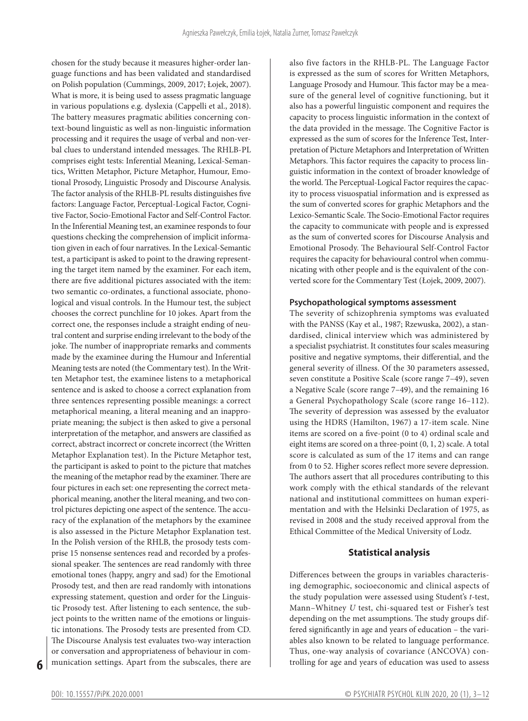chosen for the study because it measures higher-order language functions and has been validated and standardised on Polish population (Cummings, 2009, 2017; Łojek, 2007). What is more, it is being used to assess pragmatic language in various populations e.g. dyslexia (Cappelli et al., 2018). The battery measures pragmatic abilities concerning context-bound linguistic as well as non-linguistic information processing and it requires the usage of verbal and non-verbal clues to understand intended messages. The RHLB-PL comprises eight tests: Inferential Meaning, Lexical-Semantics, Written Metaphor, Picture Metaphor, Humour, Emotional Prosody, Linguistic Prosody and Discourse Analysis. The factor analysis of the RHLB-PL results distinguishes five factors: Language Factor, Perceptual-Logical Factor, Cognitive Factor, Socio-Emotional Factor and Self-Control Factor. In the Inferential Meaning test, an examinee responds to four questions checking the comprehension of implicit information given in each of four narratives. In the Lexical-Semantic test, a participant is asked to point to the drawing representing the target item named by the examiner. For each item, there are five additional pictures associated with the item: two semantic co-ordinates, a functional associate, phonological and visual controls. In the Humour test, the subject chooses the correct punchline for 10 jokes. Apart from the correct one, the responses include a straight ending of neutral content and surprise ending irrelevant to the body of the joke. The number of inappropriate remarks and comments made by the examinee during the Humour and Inferential Meaning tests are noted (the Commentary test). In the Written Metaphor test, the examinee listens to a metaphorical sentence and is asked to choose a correct explanation from three sentences representing possible meanings: a correct metaphorical meaning, a literal meaning and an inappropriate meaning; the subject is then asked to give a personal interpretation of the metaphor, and answers are classified as correct, abstract incorrect or concrete incorrect (the Written Metaphor Explanation test). In the Picture Metaphor test, the participant is asked to point to the picture that matches the meaning of the metaphor read by the examiner. There are four pictures in each set: one representing the correct metaphorical meaning, another the literal meaning, and two control pictures depicting one aspect of the sentence. The accuracy of the explanation of the metaphors by the examinee is also assessed in the Picture Metaphor Explanation test. In the Polish version of the RHLB, the prosody tests comprise 15 nonsense sentences read and recorded by a professional speaker. The sentences are read randomly with three emotional tones (happy, angry and sad) for the Emotional Prosody test, and then are read randomly with intonations expressing statement, question and order for the Linguistic Prosody test. After listening to each sentence, the subject points to the written name of the emotions or linguistic intonations. The Prosody tests are presented from CD. The Discourse Analysis test evaluates two-way interaction or conversation and appropriateness of behaviour in communication settings. Apart from the subscales, there are

also five factors in the RHLB-PL. The Language Factor is expressed as the sum of scores for Written Metaphors, Language Prosody and Humour. This factor may be a measure of the general level of cognitive functioning, but it also has a powerful linguistic component and requires the capacity to process linguistic information in the context of the data provided in the message. The Cognitive Factor is expressed as the sum of scores for the Inference Test, Interpretation of Picture Metaphors and Interpretation of Written Metaphors. This factor requires the capacity to process linguistic information in the context of broader knowledge of the world. The Perceptual-Logical Factor requires the capacity to process visuospatial information and is expressed as the sum of converted scores for graphic Metaphors and the Lexico-Semantic Scale. The Socio-Emotional Factor requires the capacity to communicate with people and is expressed as the sum of converted scores for Discourse Analysis and Emotional Prosody. The Behavioural Self-Control Factor requires the capacity for behavioural control when communicating with other people and is the equivalent of the converted score for the Commentary Test (Łojek, 2009, 2007).

#### **Psychopathological symptoms assessment**

The severity of schizophrenia symptoms was evaluated with the PANSS (Kay et al., 1987; Rzewuska, 2002), a standardised, clinical interview which was administered by a specialist psychiatrist. It constitutes four scales measuring positive and negative symptoms, their differential, and the general severity of illness. Of the 30 parameters assessed, seven constitute a Positive Scale (score range 7–49), seven a Negative Scale (score range 7–49), and the remaining 16 a General Psychopathology Scale (score range 16–112). The severity of depression was assessed by the evaluator using the HDRS (Hamilton, 1967) a 17-item scale. Nine items are scored on a five-point (0 to 4) ordinal scale and eight items are scored on a three-point (0, 1, 2) scale. A total score is calculated as sum of the 17 items and can range from 0 to 52. Higher scores reflect more severe depression. The authors assert that all procedures contributing to this work comply with the ethical standards of the relevant national and institutional committees on human experimentation and with the Helsinki Declaration of 1975, as revised in 2008 and the study received approval from the Ethical Committee of the Medical University of Lodz.

# **Statistical analysis**

Differences between the groups in variables characterising demographic, socioeconomic and clinical aspects of the study population were assessed using Student's *t-*test, Mann–Whitney *U* test, chi-squared test or Fisher's test depending on the met assumptions. The study groups differed significantly in age and years of education – the variables also known to be related to language performance. Thus, one-way analysis of covariance (ANCOVA) controlling for age and years of education was used to assess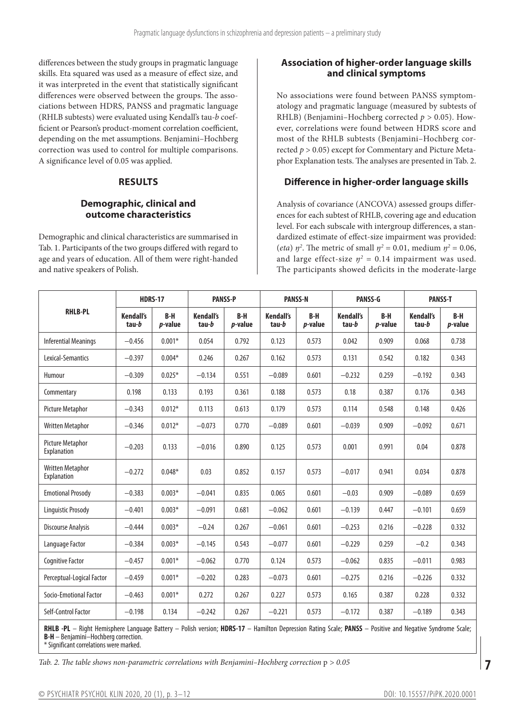differences between the study groups in pragmatic language skills. Eta squared was used as a measure of effect size, and it was interpreted in the event that statistically significant differences were observed between the groups. The associations between HDRS, PANSS and pragmatic language (RHLB subtests) were evaluated using Kendall's tau*-b* coefficient or Pearson's product-moment correlation coefficient, depending on the met assumptions. Benjamini–Hochberg correction was used to control for multiple comparisons. A significance level of 0.05 was applied.

# **RESULTS**

# **Demographic, clinical and outcome characteristics**

Demographic and clinical characteristics are summarised in Tab. 1. Participants of the two groups differed with regard to age and years of education. All of them were right-handed and native speakers of Polish.

# **Association of higher-order language skills and clinical symptoms**

No associations were found between PANSS symptomatology and pragmatic language (measured by subtests of RHLB) (Benjamini–Hochberg corrected *p* > 0.05). However, correlations were found between HDRS score and most of the RHLB subtests (Benjamini–Hochberg corrected *p* > 0.05) except for Commentary and Picture Metaphor Explanation tests. The analyses are presented in Tab. 2.

# **Difference in higher-order language skills**

Analysis of covariance (ANCOVA) assessed groups differences for each subtest of RHLB, covering age and education level. For each subscale with intergroup differences, a standardized estimate of effect-size impairment was provided: (*eta*)  $\eta^2$ . The metric of small  $\eta^2 = 0.01$ , medium  $\eta^2 = 0.06$ , and large effect-size  $\eta^2 = 0.14$  impairment was used. The participants showed deficits in the moderate-large

| <b>RHLB-PL</b>                  | <b>HDRS-17</b>            |                          | <b>PANSS-P</b>            |                        | <b>PANSS-N</b>            |                        | <b>PANSS-G</b>            |                          | <b>PANSS-T</b>            |                |
|---------------------------------|---------------------------|--------------------------|---------------------------|------------------------|---------------------------|------------------------|---------------------------|--------------------------|---------------------------|----------------|
|                                 | <b>Kendall's</b><br>tau-b | $B-H$<br><i>p</i> -value | <b>Kendall's</b><br>tau-b | B-H<br><i>p</i> -value | <b>Kendall's</b><br>tau-b | B-H<br><i>p</i> -value | <b>Kendall's</b><br>tau-b | $B-H$<br><i>p</i> -value | <b>Kendall's</b><br>tau-b | B-H<br>p-value |
| <b>Inferential Meanings</b>     | $-0.456$                  | $0.001*$                 | 0.054                     | 0.792                  | 0.123                     | 0.573                  | 0.042                     | 0.909                    | 0.068                     | 0.738          |
| Lexical-Semantics               | $-0.397$                  | $0.004*$                 | 0.246                     | 0.267                  | 0.162                     | 0.573                  | 0.131                     | 0.542                    | 0.182                     | 0.343          |
| Humour                          | $-0.309$                  | $0.025*$                 | $-0.134$                  | 0.551                  | $-0.089$                  | 0.601                  | $-0.232$                  | 0.259                    | $-0.192$                  | 0.343          |
| Commentary                      | 0.198                     | 0.133                    | 0.193                     | 0.361                  | 0.188                     | 0.573                  | 0.18                      | 0.387                    | 0.176                     | 0.343          |
| Picture Metaphor                | $-0.343$                  | $0.012*$                 | 0.113                     | 0.613                  | 0.179                     | 0.573                  | 0.114                     | 0.548                    | 0.148                     | 0.426          |
| Written Metaphor                | $-0.346$                  | $0.012*$                 | $-0.073$                  | 0.770                  | $-0.089$                  | 0.601                  | $-0.039$                  | 0.909                    | $-0.092$                  | 0.671          |
| Picture Metaphor<br>Explanation | $-0.203$                  | 0.133                    | $-0.016$                  | 0.890                  | 0.125                     | 0.573                  | 0.001                     | 0.991                    | 0.04                      | 0.878          |
| Written Metaphor<br>Explanation | $-0.272$                  | $0.048*$                 | 0.03                      | 0.852                  | 0.157                     | 0.573                  | $-0.017$                  | 0.941                    | 0.034                     | 0.878          |
| <b>Emotional Prosody</b>        | $-0.383$                  | $0.003*$                 | $-0.041$                  | 0.835                  | 0.065                     | 0.601                  | $-0.03$                   | 0.909                    | $-0.089$                  | 0.659          |
| <b>Linguistic Prosody</b>       | $-0.401$                  | $0.003*$                 | $-0.091$                  | 0.681                  | $-0.062$                  | 0.601                  | $-0.139$                  | 0.447                    | $-0.101$                  | 0.659          |
| <b>Discourse Analysis</b>       | $-0.444$                  | $0.003*$                 | $-0.24$                   | 0.267                  | $-0.061$                  | 0.601                  | $-0.253$                  | 0.216                    | $-0.228$                  | 0.332          |
| Language Factor                 | $-0.384$                  | $0.003*$                 | $-0.145$                  | 0.543                  | $-0.077$                  | 0.601                  | $-0.229$                  | 0.259                    | $-0.2$                    | 0.343          |
| <b>Cognitive Factor</b>         | $-0.457$                  | $0.001*$                 | $-0.062$                  | 0.770                  | 0.124                     | 0.573                  | $-0.062$                  | 0.835                    | $-0.011$                  | 0.983          |
| Perceptual-Logical Factor       | $-0.459$                  | $0.001*$                 | $-0.202$                  | 0.283                  | $-0.073$                  | 0.601                  | $-0.275$                  | 0.216                    | $-0.226$                  | 0.332          |
| Socio-Emotional Factor          | $-0.463$                  | $0.001*$                 | 0.272                     | 0.267                  | 0.227                     | 0.573                  | 0.165                     | 0.387                    | 0.228                     | 0.332          |
| Self-Control Factor             | $-0.198$                  | 0.134                    | $-0.242$                  | 0.267                  | $-0.221$                  | 0.573                  | $-0.172$                  | 0.387                    | $-0.189$                  | 0.343          |

**RHLB -PL** – Right Hemisphere Language Battery – Polish version; **HDRS-17** – Hamilton Depression Rating Scale; **PANSS** – Positive and Negative Syndrome Scale; **B-H** – Benjamini–Hochberg correction. \* Significant correlations were marked.

*Tab. 2. The table shows non-parametric correlations with Benjamini–Hochberg correction* p *> 0.05*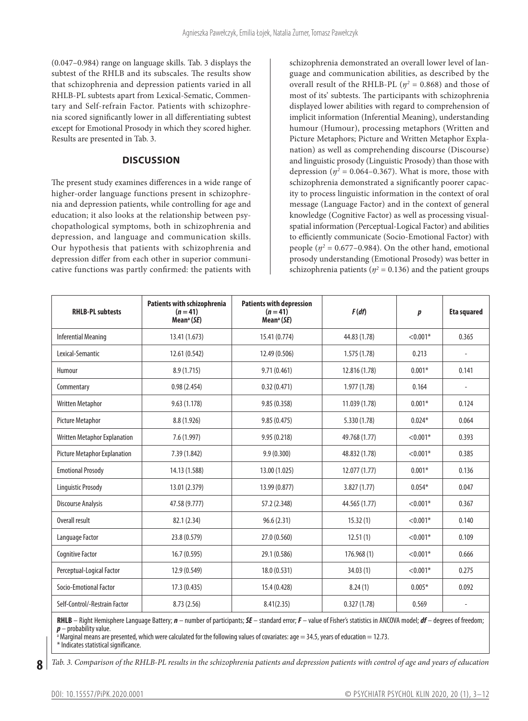(0.047–0.984) range on language skills. Tab. 3 displays the subtest of the RHLB and its subscales. The results show that schizophrenia and depression patients varied in all RHLB-PL subtests apart from Lexical-Sematic, Commentary and Self-refrain Factor. Patients with schizophrenia scored significantly lower in all differentiating subtest except for Emotional Prosody in which they scored higher. Results are presented in Tab. 3.

#### **DISCUSSION**

The present study examines differences in a wide range of higher-order language functions present in schizophrenia and depression patients, while controlling for age and education; it also looks at the relationship between psychopathological symptoms, both in schizophrenia and depression, and language and communication skills. Our hypothesis that patients with schizophrenia and depression differ from each other in superior communicative functions was partly confirmed: the patients with

schizophrenia demonstrated an overall lower level of language and communication abilities, as described by the overall result of the RHLB-PL ( $\eta^2 = 0.868$ ) and those of most of its' subtests. The participants with schizophrenia displayed lower abilities with regard to comprehension of implicit information (Inferential Meaning), understanding humour (Humour), processing metaphors (Written and Picture Metaphors; Picture and Written Metaphor Explanation) as well as comprehending discourse (Discourse) and linguistic prosody (Linguistic Prosody) than those with depression ( $\eta^2$  = 0.064–0.367). What is more, those with schizophrenia demonstrated a significantly poorer capacity to process linguistic information in the context of oral message (Language Factor) and in the context of general knowledge (Cognitive Factor) as well as processing visualspatial information (Perceptual-Logical Factor) and abilities to efficiently communicate (Socio-Emotional Factor) with people ( $\eta^2$  = 0.677–0.984). On the other hand, emotional prosody understanding (Emotional Prosody) was better in schizophrenia patients ( $\eta^2$  = 0.136) and the patient groups

| <b>RHLB-PL subtests</b>             | Patients with schizophrenia<br>$(n = 41)$<br>Mean <sup>a</sup> $(SE)$ | <b>Patients with depression</b><br>$(n = 41)$<br>Mean <sup>a</sup> $(SE)$ | F(df)         | p          | <b>Eta squared</b> |
|-------------------------------------|-----------------------------------------------------------------------|---------------------------------------------------------------------------|---------------|------------|--------------------|
| <b>Inferential Meaning</b>          | 13.41 (1.673)                                                         | 15.41 (0.774)                                                             | 44.83 (1.78)  | $< 0.001*$ | 0.365              |
| Lexical-Semantic                    | 12.61 (0.542)                                                         | 12.49 (0.506)                                                             | 1.575(1.78)   | 0.213      |                    |
| Humour                              | 8.9(1.715)                                                            | 9.71(0.461)                                                               | 12.816 (1.78) | $0.001*$   | 0.141              |
| Commentary                          | 0.98(2.454)                                                           | 0.32(0.471)                                                               | 1.977(1.78)   | 0.164      |                    |
| Written Metaphor                    | 9.63(1.178)                                                           | 9.85(0.358)                                                               | 11.039 (1.78) | $0.001*$   | 0.124              |
| <b>Picture Metaphor</b>             | 8.8 (1.926)                                                           | 9.85(0.475)                                                               | 5.330 (1.78)  | $0.024*$   | 0.064              |
| Written Metaphor Explanation        | 7.6(1.997)                                                            | 9.95(0.218)                                                               | 49.768 (1.77) | $< 0.001*$ | 0.393              |
| <b>Picture Metaphor Explanation</b> | 7.39 (1.842)                                                          | 9.9(0.300)                                                                | 48.832 (1.78) | $< 0.001*$ | 0.385              |
| <b>Emotional Prosody</b>            | 14.13 (1.588)                                                         | 13.00 (1.025)                                                             | 12.077(1.77)  | $0.001*$   | 0.136              |
| Linguistic Prosody                  | 13.01 (2.379)                                                         | 13.99 (0.877)                                                             | 3.827(1.77)   | $0.054*$   | 0.047              |
| <b>Discourse Analysis</b>           | 47.58 (9.777)                                                         | 57.2 (2.348)                                                              | 44.565 (1.77) | $< 0.001*$ | 0.367              |
| Overall result                      | 82.1 (2.34)                                                           | 96.6(2.31)                                                                | 15.32(1)      | $< 0.001*$ | 0.140              |
| Language Factor                     | 23.8 (0.579)                                                          | 27.0 (0.560)                                                              | 12.51(1)      | $< 0.001*$ | 0.109              |
| <b>Cognitive Factor</b>             | 16.7(0.595)                                                           | 29.1 (0.586)                                                              | 176.968 (1)   | $< 0.001*$ | 0.666              |
| Perceptual-Logical Factor           | 12.9 (0.549)                                                          | 18.0 (0.531)                                                              | 34.03(1)      | $< 0.001*$ | 0.275              |
| Socio-Emotional Factor              | 17.3(0.435)                                                           | 15.4 (0.428)                                                              | 8.24(1)       | $0.005*$   | 0.092              |
| Self-Control/-Restrain Factor       | 8.73(2.56)                                                            | 8.41(2.35)                                                                | 0.327(1.78)   | 0.569      |                    |

**RHLB** – Right Hemisphere Language Battery; *n* – number of participants; *SE* – standard error; *F* – value of Fisher's statistics in ANCOVA model; *df* – degrees of freedom; *p* – probability value.

a Marginal means are presented, which were calculated for the following values of covariates: age = 34.5, years of education = 12.73. \* Indicates statistical significance.

*Tab. 3. Comparison of the RHLB-PL results in the schizophrenia patients and depression patients with control of age and years of education*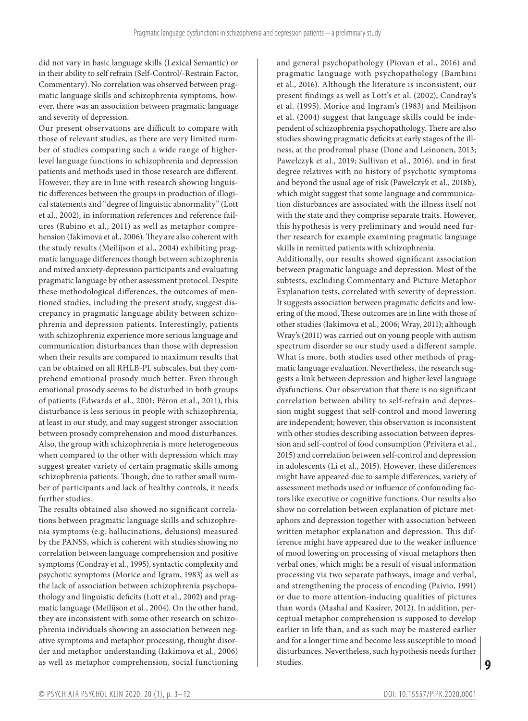did not vary in basic language skills (Lexical Semantic) or in their ability to self refrain (Self-Control/-Restrain Factor, Commentary). No correlation was observed between pragmatic language skills and schizophrenia symptoms, however, there was an association between pragmatic language and severity of depression.

Our present observations are difficult to compare with those of relevant studies, as there are very limited number of studies comparing such a wide range of higherlevel language functions in schizophrenia and depression patients and methods used in those research are different. However, they are in line with research showing linguistic differences between the groups in production of illogical statements and "degree of linguistic abnormality" (Lott et al., 2002), in information references and reference failures (Rubino et al., 2011) as well as metaphor comprehension (Iakimova et al., 2006). They are also coherent with the study results (Meilijson et al., 2004) exhibiting pragmatic language differences though between schizophrenia and mixed anxiety-depression participants and evaluating pragmatic language by other assessment protocol. Despite these methodological differences, the outcomes of mentioned studies, including the present study, suggest discrepancy in pragmatic language ability between schizophrenia and depression patients. Interestingly, patients with schizophrenia experience more serious language and communication disturbances than those with depression when their results are compared to maximum results that can be obtained on all RHLB-PL subscales, but they comprehend emotional prosody much better. Even through emotional prosody seems to be disturbed in both groups of patients (Edwards et al., 2001; Péron et al., 2011), this disturbance is less serious in people with schizophrenia, at least in our study, and may suggest stronger association between prosody comprehension and mood disturbances. Also, the group with schizophrenia is more heterogeneous when compared to the other with depression which may suggest greater variety of certain pragmatic skills among schizophrenia patients. Though, due to rather small number of participants and lack of healthy controls, it needs further studies.

The results obtained also showed no significant correlations between pragmatic language skills and schizophrenia symptoms (e.g. hallucinations, delusions) measured by the PANSS, which is coherent with studies showing no correlation between language comprehension and positive symptoms (Condray et al., 1995), syntactic complexity and psychotic symptoms (Morice and Igram, 1983) as well as the lack of association between schizophrenia psychopathology and linguistic deficits (Lott et al., 2002) and pragmatic language (Meilijson et al., 2004). On the other hand, they are inconsistent with some other research on schizophrenia individuals showing an association between negative symptoms and metaphor processing, thought disorder and metaphor understanding (Iakimova et al., 2006) as well as metaphor comprehension, social functioning and general psychopathology (Piovan et al., 2016) and pragmatic language with psychopathology (Bambini et al., 2016). Although the literature is inconsistent, our present findings as well as Lott's et al. (2002), Condray's et al. (1995), Morice and Ingram's (1983) and Meilijson et al. (2004) suggest that language skills could be independent of schizophrenia psychopathology. There are also studies showing pragmatic deficits at early stages of the illness, at the prodromal phase (Done and Leinonen, 2013; Pawełczyk et al., 2019; Sullivan et al., 2016), and in first degree relatives with no history of psychotic symptoms and beyond the usual age of risk (Pawełczyk et al., 2018b), which might suggest that some language and communication disturbances are associated with the illness itself not with the state and they comprise separate traits. However, this hypothesis is very preliminary and would need further research for example examining pragmatic language skills in remitted patients with schizophrenia.

Additionally, our results showed significant association between pragmatic language and depression. Most of the subtests, excluding Commentary and Picture Metaphor Explanation tests, correlated with severity of depression. It suggests association between pragmatic deficits and lowering of the mood. These outcomes are in line with those of other studies (Iakimova et al., 2006; Wray, 2011); although Wray's (2011) was carried out on young people with autism spectrum disorder so our study used a different sample. What is more, both studies used other methods of pragmatic language evaluation. Nevertheless, the research suggests a link between depression and higher level language dysfunctions. Our observation that there is no significant correlation between ability to self-refrain and depression might suggest that self-control and mood lowering are independent; however, this observation is inconsistent with other studies describing association between depression and self-control of food consumption (Privitera et al., 2015) and correlation between self-control and depression in adolescents (Li et al., 2015). However, these differences might have appeared due to sample differences, variety of assessment methods used or influence of confounding factors like executive or cognitive functions. Our results also show no correlation between explanation of picture metaphors and depression together with association between written metaphor explanation and depression. This difference might have appeared due to the weaker influence of mood lowering on processing of visual metaphors then verbal ones, which might be a result of visual information processing via two separate pathways, image and verbal, and strengthening the process of encoding (Paivio, 1991) or due to more attention-inducing qualities of pictures than words (Mashal and Kasirer, 2012). In addition, perceptual metaphor comprehension is supposed to develop earlier in life than, and as such may be mastered earlier and for a longer time and become less susceptible to mood disturbances. Nevertheless, such hypothesis needs further studies.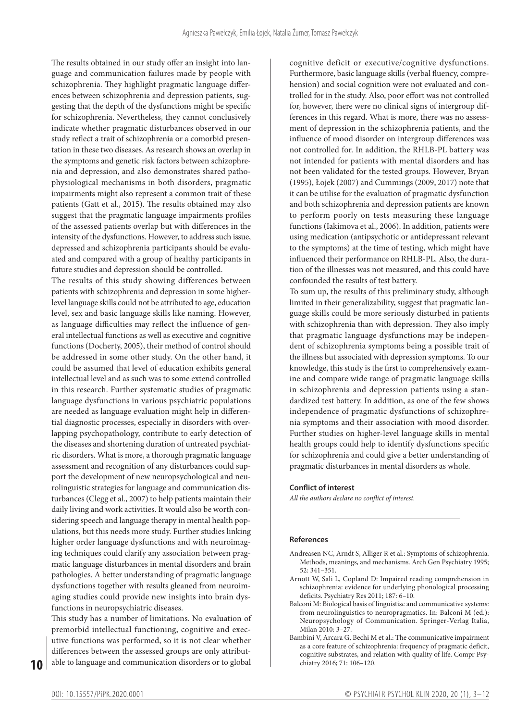The results obtained in our study offer an insight into language and communication failures made by people with schizophrenia. They highlight pragmatic language differences between schizophrenia and depression patients, suggesting that the depth of the dysfunctions might be specific for schizophrenia. Nevertheless, they cannot conclusively indicate whether pragmatic disturbances observed in our study reflect a trait of schizophrenia or a comorbid presentation in these two diseases. As research shows an overlap in the symptoms and genetic risk factors between schizophrenia and depression, and also demonstrates shared pathophysiological mechanisms in both disorders, pragmatic impairments might also represent a common trait of these patients (Gatt et al., 2015). The results obtained may also suggest that the pragmatic language impairments profiles of the assessed patients overlap but with differences in the intensity of the dysfunctions. However, to address such issue, depressed and schizophrenia participants should be evaluated and compared with a group of healthy participants in future studies and depression should be controlled.

The results of this study showing differences between patients with schizophrenia and depression in some higherlevel language skills could not be attributed to age, education level, sex and basic language skills like naming. However, as language difficulties may reflect the influence of general intellectual functions as well as executive and cognitive functions (Docherty, 2005), their method of control should be addressed in some other study. On the other hand, it could be assumed that level of education exhibits general intellectual level and as such was to some extend controlled in this research. Further systematic studies of pragmatic language dysfunctions in various psychiatric populations are needed as language evaluation might help in differential diagnostic processes, especially in disorders with overlapping psychopathology, contribute to early detection of the diseases and shortening duration of untreated psychiatric disorders. What is more, a thorough pragmatic language assessment and recognition of any disturbances could support the development of new neuropsychological and neurolinguistic strategies for language and communication disturbances (Clegg et al., 2007) to help patients maintain their daily living and work activities. It would also be worth considering speech and language therapy in mental health populations, but this needs more study. Further studies linking higher order language dysfunctions and with neuroimaging techniques could clarify any association between pragmatic language disturbances in mental disorders and brain pathologies. A better understanding of pragmatic language dysfunctions together with results gleaned from neuroimaging studies could provide new insights into brain dysfunctions in neuropsychiatric diseases.

This study has a number of limitations. No evaluation of premorbid intellectual functioning, cognitive and executive functions was performed, so it is not clear whether differences between the assessed groups are only attributable to language and communication disorders or to global

cognitive deficit or executive/cognitive dysfunctions. Furthermore, basic language skills (verbal fluency, comprehension) and social cognition were not evaluated and controlled for in the study. Also, poor effort was not controlled for, however, there were no clinical signs of intergroup differences in this regard. What is more, there was no assessment of depression in the schizophrenia patients, and the influence of mood disorder on intergroup differences was not controlled for. In addition, the RHLB-PL battery was not intended for patients with mental disorders and has not been validated for the tested groups. However, Bryan (1995), Łojek (2007) and Cummings (2009, 2017) note that it can be utilise for the evaluation of pragmatic dysfunction and both schizophrenia and depression patients are known to perform poorly on tests measuring these language functions (Iakimova et al., 2006). In addition, patients were using medication (antipsychotic or antidepressant relevant to the symptoms) at the time of testing, which might have influenced their performance on RHLB-PL. Also, the duration of the illnesses was not measured, and this could have confounded the results of test battery.

To sum up, the results of this preliminary study, although limited in their generalizability, suggest that pragmatic language skills could be more seriously disturbed in patients with schizophrenia than with depression. They also imply that pragmatic language dysfunctions may be independent of schizophrenia symptoms being a possible trait of the illness but associated with depression symptoms. To our knowledge, this study is the first to comprehensively examine and compare wide range of pragmatic language skills in schizophrenia and depression patients using a standardized test battery. In addition, as one of the few shows independence of pragmatic dysfunctions of schizophrenia symptoms and their association with mood disorder. Further studies on higher-level language skills in mental health groups could help to identify dysfunctions specific for schizophrenia and could give a better understanding of pragmatic disturbances in mental disorders as whole.

#### **Conflict of interest**

*All the authors declare no conflict of interest.*

#### **References**

- Andreasen NC, Arndt S, Alliger R et al.: Symptoms of schizophrenia. Methods, meanings, and mechanisms. Arch Gen Psychiatry 1995; 52: 341–351.
- Arnott W, Sali L, Copland D: Impaired reading comprehension in schizophrenia: evidence for underlying phonological processing deficits. Psychiatry Res 2011; 187: 6–10.
- Balconi M: Biological basis of linguistisc and communicative systems: from neurolinguistics to neuropragmatics. In: Balconi M (ed.): Neuropsychology of Communication. Springer-Verlag Italia, Milan 2010: 3–27.
- Bambini V, Arcara G, Bechi M et al.: The communicative impairment as a core feature of schizophrenia: frequency of pragmatic deficit, cognitive substrates, and relation with quality of life. Compr Psychiatry 2016; 71: 106–120.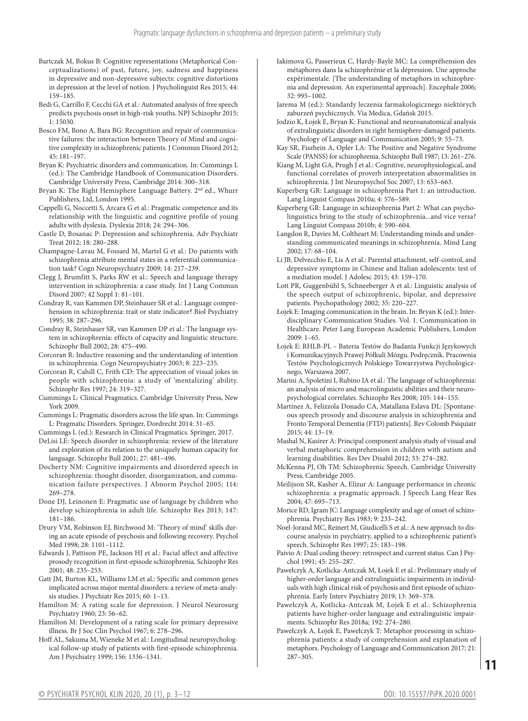Bartczak M, Bokus B: Cognitive representations (Metaphorical Conceptualizations) of past, future, joy, sadness and happiness in depressive and non-depressive subjects: cognitive distortions in depression at the level of notion. J Psycholinguist Res 2015; 44: 159–185.

Bedi G, Carrillo F, Cecchi GA et al.: Automated analysis of free speech predicts psychosis onset in high-risk youths. NPJ Schizophr 2015; 1: 15030.

- Bosco FM, Bono A, Bara BG: Recognition and repair of communicative failures: the interaction between Theory of Mind and cognitive complexity in schizophrenic patients. J Commun Disord 2012; 45: 181–197.
- Bryan K: Psychiatric disorders and communication. In: Cummings L (ed.): The Cambridge Handbook of Communication Disorders. Cambridge University Press, Cambridge 2014: 300–318.
- Bryan K: The Right Hemisphere Language Battery. 2<sup>nd</sup> ed., Whurr Publishers, Ltd, London 1995.
- Cappelli G, Noccetti S, Arcara G et al.: Pragmatic competence and its relationship with the linguistic and cognitive profile of young adults with dyslexia. Dyslexia 2018; 24: 294–306.
- Castle D, Bosanac P: Depression and schizophrenia. Adv Psychiatr Treat 2012; 18: 280–288.
- Champagne-Lavau M, Fossard M, Martel G et al.: Do patients with schizophrenia attribute mental states in a referential communication task? Cogn Neuropsychiatry 2009; 14: 217–239.
- Clegg J, Brumfitt S, Parks RW et al.: Speech and language therapy intervention in schizophrenia: a case study. Int J Lang Commun Disord 2007; 42 Suppl 1: 81–101.
- Condray R, van Kammen DP, Steinhauer SR et al.: Language comprehension in schizophrenia: trait or state indicator? Biol Psychiatry 1995; 38: 287–296.
- Condray R, Steinhauer SR, van Kammen DP et al.: The language system in schizophrenia: effects of capacity and linguistic structure. Schizophr Bull 2002; 28: 475–490.
- Corcoran R: Inductive reasoning and the understanding of intention in schizophrenia. Cogn Neuropsychiatry 2003; 8: 223–235.
- Corcoran R, Cahill C, Frith CD: The appreciation of visual jokes in people with schizophrenia: a study of 'mentalizing' ability. Schizophr Res 1997; 24: 319–327.
- Cummings L: Clinical Pragmatics. Cambridge University Press, New York 2009.
- Cummings L: Pragmatic disorders across the life span. In: Cummings L: Pragmatic Disorders. Springer, Dordrecht 2014: 31–65.

Cummings L (ed.): Research in Clinical Pragmatics. Springer, 2017.

- DeLisi LE: Speech disorder in schizophrenia: review of the literature and exploration of its relation to the uniquely human capacity for language. Schizophr Bull 2001; 27: 481–496.
- Docherty NM: Cognitive impairments and disordered speech in schizophrenia: thought disorder, disorganization, and communication failure perspectives. J Abnorm Psychol 2005; 114: 269–278.
- Done DJ, Leinonen E: Pragmatic use of language by children who develop schizophrenia in adult life. Schizophr Res 2013; 147: 181–186.
- Drury VM, Robinson EJ, Birchwood M: 'Theory of mind' skills during an acute episode of psychosis and following recovery. Psychol Med 1998; 28: 1101–1112.
- Edwards J, Pattison PE, Jackson HJ et al.: Facial affect and affective prosody recognition in first-episode schizophrenia. Schizophr Res 2001; 48: 235–253.
- Gatt JM, Burton KL, Williams LM et al.: Specific and common genes implicated across major mental disorders: a review of meta-analysis studies. J Psychiatr Res 2015; 60: 1–13.
- Hamilton M: A rating scale for depression. J Neurol Neurosurg Psychiatry 1960; 23: 56–62.
- Hamilton M: Development of a rating scale for primary depressive illness. Br J Soc Clin Psychol 1967; 6: 278–296.
- Hoff AL, Sakuma M, Wieneke M et al.: Longitudinal neuropsychological follow-up study of patients with first-episode schizophrenia. Am J Psychiatry 1999; 156: 1336–1341.
- Iakimova G, Passerieux C, Hardy-Baylé MC: La compréhension des métaphores dans la schizophrénie et la dépression. Une approche expérimentale. [The understanding of metaphors in schizophrenia and depression. An experimental approach]. Encephale 2006; 32: 995–1002.
- Jarema M (ed.): Standardy leczenia farmakologicznego niektórych zaburzeń psychicznych. Via Medica, Gdańsk 2015.
- Jodzio K, Łojek E, Bryan K: Functional and neuroanatomical analysis of extralinguistic disorders in right hemisphere-damaged patients. Psychology of Language and Communication 2005; 9: 55–73.
- Kay SR, Fiszbein A, Opler LA: The Positive and Negative Syndrome Scale (PANSS) for schizophrenia. Schizophr Bull 1987; 13: 261–276.
- Kiang M, Light GA, Prugh J et al.: Cognitive, neurophysiological, and functional correlates of proverb interpretation abnormalities in schizophrenia. J Int Neuropsychol Soc 2007; 13: 653–663.
- Kuperberg GR: Language in schizophrenia Part 1: an introduction. Lang Linguist Compass 2010a; 4: 576–589.
- Kuperberg GR: Language in schizophrenia Part 2: What can psycholinguistics bring to the study of schizophrenia...and vice versa? Lang Linguist Compass 2010b; 4: 590–604.
- Langdon R, Davies M, Coltheart M: Understanding minds and understanding communicated meanings in schizophrenia. Mind Lang 2002; 17: 68–104.
- Li JB, Delvecchio E, Lis A et al.: Parental attachment, self-control, and depressive symptoms in Chinese and Italian adolescents: test of a mediation model. J Adolesc 2015; 43: 159–170.
- Lott PR, Guggenbühl S, Schneeberger A et al.: Linguistic analysis of the speech output of schizophrenic, bipolar, and depressive patients. Psychopathology 2002; 35: 220–227.
- Łojek E: Imaging communication in the brain. In: Bryan K (ed.): Interdisciplinary Communication Studies. Vol. 1. Communication in Healthcare. Peter Lang European Academic Publishers, London 2009: 1–65.
- Łojek E: RHLB-PL Bateria Testów do Badania Funkcji Językowych i Komunikacyjnych Prawej Półkuli Mózgu. Podręcznik. Pracownia Testów Psychologicznych Polskiego Towarzystwa Psychologicznego, Warszawa 2007.
- Marini A, Spoletini I, Rubino IA et al.: The language of schizophrenia: an analysis of micro and macrolinguistic abilities and their neuropsychological correlates. Schizophr Res 2008; 105: 144–155.
- Martínez A, Felizzola Donado CA, Matallana Eslava DL: [Spontaneous speech prosody and discourse analysis in schizophrenia and Fronto Temporal Dementia (FTD) patients]. Rev Colomb Psiquiatr 2015; 44: 13–19.
- Mashal N, Kasirer A: Principal component analysis study of visual and verbal metaphoric comprehension in children with autism and learning disabilities. Res Dev Disabil 2012; 33: 274–282.
- McKenna PJ, Oh TM: Schizophrenic Speech. Cambridge University Press, Cambridge 2005.
- Meilijson SR, Kasher A, Elizur A: Language performance in chronic schizophrenia: a pragmatic approach. J Speech Lang Hear Res 2004; 47: 695–713.
- Morice RD, Igram JC: Language complexity and age of onset of schizophrenia. Psychiatry Res 1983; 9: 233–242.
- Noel-Jorand MC, Reinert M, Giudicelli S et al.: A new approach to discourse analysis in psychiatry, applied to a schizophrenic patient's speech. Schizophr Res 1997; 25: 183–198.
- Paivio A: Dual coding theory: retrospect and current status. Can J Psychol 1991; 45: 255–287.
- Pawełczyk A, Kotlicka-Antczak M, Łojek E et al.: Preliminary study of higher-order language and extralinguistic impairments in individuals with high clinical risk of psychosis and first episode of schizophrenia. Early Interv Psychiatry 2019; 13: 369–378.
- Pawełczyk A, Kotlicka-Antczak M, Łojek E et al.: Schizophrenia patients have higher-order language and extralinguistic impairments. Schizophr Res 2018a; 192: 274–280.
- Pawełczyk A, Łojek E, Pawełczyk T: Metaphor processing in schizophrenia patients: a study of comprehension and explanation of metaphors. Psychology of Language and Communication 2017; 21: 287–305.